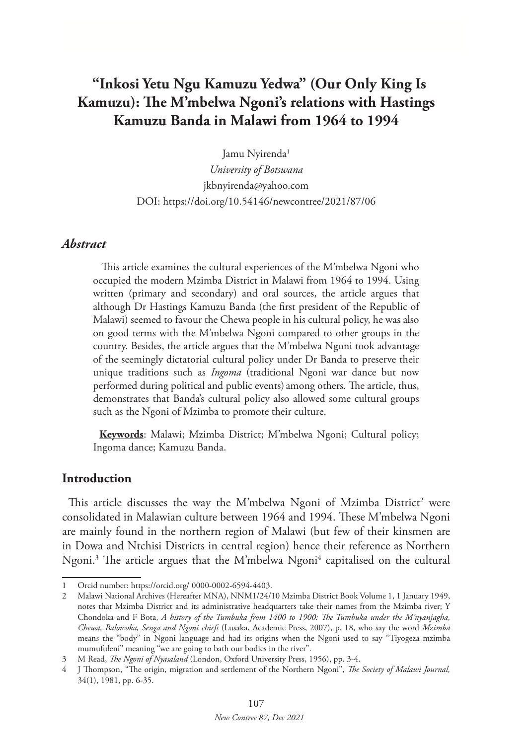# **"Inkosi Yetu Ngu Kamuzu Yedwa" (Our Only King Is Kamuzu): The M'mbelwa Ngoni's relations with Hastings Kamuzu Banda in Malawi from 1964 to 1994**

Jamu Nyirenda<sup>1</sup> *University of Botswana* jkbnyirenda@yahoo.com DOI: https://doi.org/10.54146/newcontree/2021/87/06

#### *Abstract*

This article examines the cultural experiences of the M'mbelwa Ngoni who occupied the modern Mzimba District in Malawi from 1964 to 1994. Using written (primary and secondary) and oral sources, the article argues that although Dr Hastings Kamuzu Banda (the first president of the Republic of Malawi) seemed to favour the Chewa people in his cultural policy, he was also on good terms with the M'mbelwa Ngoni compared to other groups in the country. Besides, the article argues that the M'mbelwa Ngoni took advantage of the seemingly dictatorial cultural policy under Dr Banda to preserve their unique traditions such as *Ingoma* (traditional Ngoni war dance but now performed during political and public events) among others. The article, thus, demonstrates that Banda's cultural policy also allowed some cultural groups such as the Ngoni of Mzimba to promote their culture.

**Keywords**: Malawi; Mzimba District; M'mbelwa Ngoni; Cultural policy; Ingoma dance; Kamuzu Banda.

#### **Introduction**

This article discusses the way the M'mbelwa Ngoni of Mzimba District<sup>2</sup> were consolidated in Malawian culture between 1964 and 1994. These M'mbelwa Ngoni are mainly found in the northern region of Malawi (but few of their kinsmen are in Dowa and Ntchisi Districts in central region) hence their reference as Northern Ngoni.<sup>3</sup> The article argues that the M'mbelwa Ngoni<sup>4</sup> capitalised on the cultural

<sup>1</sup> Orcid number: https://orcid.org/ 0000-0002-6594-4403.

<sup>2</sup> Malawi National Archives (Hereafter MNA), NNM1/24/10 Mzimba District Book Volume 1, 1 January 1949, notes that Mzimba District and its administrative headquarters take their names from the Mzimba river; Y Chondoka and F Bota, *A history of the Tumbuka from 1400 to 1900: The Tumbuka under the M'nyanjagha, Chewa, Balowoka, Senga and Ngoni chiefs* (Lusaka, Academic Press, 2007), p. 18, who say the word *Mzimba* means the "body" in Ngoni language and had its origins when the Ngoni used to say "Tiyogeza mzimba mumufuleni" meaning "we are going to bath our bodies in the river".

<sup>3</sup> M Read, *The Ngoni of Nyasaland* (London, Oxford University Press, 1956), pp. 3-4.

<sup>4</sup> J Thompson, "The origin, migration and settlement of the Northern Ngoni", *The Society of Malawi Journal,* 34(1), 1981, pp. 6-35.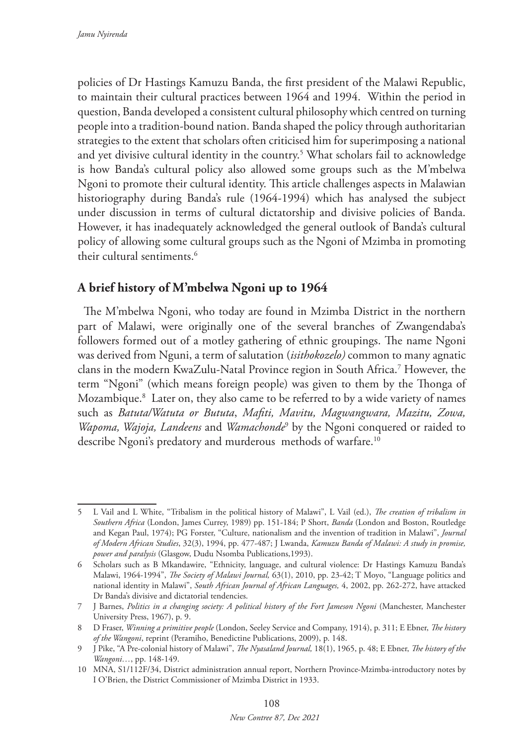policies of Dr Hastings Kamuzu Banda, the first president of the Malawi Republic, to maintain their cultural practices between 1964 and 1994. Within the period in question, Banda developed a consistent cultural philosophy which centred on turning people into a tradition-bound nation. Banda shaped the policy through authoritarian strategies to the extent that scholars often criticised him for superimposing a national and yet divisive cultural identity in the country.5 What scholars fail to acknowledge is how Banda's cultural policy also allowed some groups such as the M'mbelwa Ngoni to promote their cultural identity. This article challenges aspects in Malawian historiography during Banda's rule (1964-1994) which has analysed the subject under discussion in terms of cultural dictatorship and divisive policies of Banda. However, it has inadequately acknowledged the general outlook of Banda's cultural policy of allowing some cultural groups such as the Ngoni of Mzimba in promoting their cultural sentiments.<sup>6</sup>

## **A brief history of M'mbelwa Ngoni up to 1964**

The M'mbelwa Ngoni, who today are found in Mzimba District in the northern part of Malawi, were originally one of the several branches of Zwangendaba's followers formed out of a motley gathering of ethnic groupings. The name Ngoni was derived from Nguni, a term of salutation (*isithokozelo)* common to many agnatic clans in the modern KwaZulu-Natal Province region in South Africa.7 However, the term "Ngoni" (which means foreign people) was given to them by the Thonga of Mozambique.8 Later on, they also came to be referred to by a wide variety of names such as *Batuta/Watuta or Bututa*, *Mafiti, Mavitu, Magwangwara, Mazitu, Zowa, Wapoma, Wajoja, Landeens* and *Wamachonde*<sup>9</sup> by the Ngoni conquered or raided to describe Ngoni's predatory and murderous methods of warfare.<sup>10</sup>

<sup>5</sup> L Vail and L White, "Tribalism in the political history of Malawi", L Vail (ed.), *The creation of tribalism in Southern Africa* (London, James Currey, 1989) pp. 151-184; P Short, *Banda* (London and Boston, Routledge and Kegan Paul, 1974); PG Forster, "Culture, nationalism and the invention of tradition in Malawi", *Journal of Modern African Studies*, 32(3), 1994, pp. 477-487; J Lwanda, *Kamuzu Banda of Malawi: A study in promise, power and paralysis* (Glasgow, Dudu Nsomba Publications,1993).

<sup>6</sup> Scholars such as B Mkandawire, "Ethnicity, language, and cultural violence: Dr Hastings Kamuzu Banda's Malawi, 1964-1994", *The Society of Malawi Journal,* 63(1), 2010, pp. 23-42; T Moyo, "Language politics and national identity in Malawi", *South African Journal of African Languages,* 4, 2002, pp. 262-272, have attacked Dr Banda's divisive and dictatorial tendencies.

<sup>7</sup> J Barnes, *Politics in a changing society: A political history of the Fort Jameson Ngoni* (Manchester, Manchester University Press, 1967), p. 9.

<sup>8</sup> D Fraser, *Winning a primitive people* (London, Seeley Service and Company, 1914), p. 311; E Ebner, *The history of the Wangoni*, reprint (Peramiho, Benedictine Publications, 2009), p. 148.

<sup>9</sup> J Pike, "A Pre-colonial history of Malawi", *The Nyasaland Journal,* 18(1), 1965, p. 48; E Ebner, *The history of the Wangoni…*, pp. 148-149.

<sup>10</sup> MNA, S1/112F/34, District administration annual report, Northern Province-Mzimba-introductory notes by I O'Brien, the District Commissioner of Mzimba District in 1933.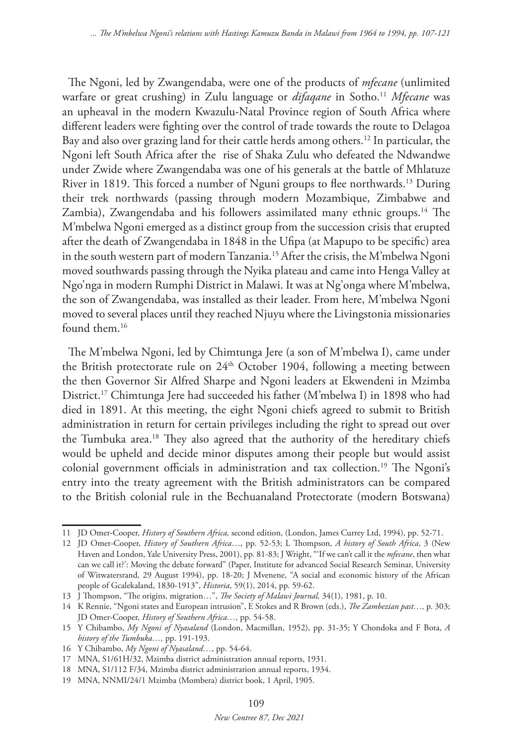The Ngoni, led by Zwangendaba, were one of the products of *mfecane* (unlimited warfare or great crushing) in Zulu language or *difaqane* in Sotho.<sup>11</sup> Mfecane was an upheaval in the modern Kwazulu-Natal Province region of South Africa where different leaders were fighting over the control of trade towards the route to Delagoa Bay and also over grazing land for their cattle herds among others.12 In particular, the Ngoni left South Africa after the rise of Shaka Zulu who defeated the Ndwandwe under Zwide where Zwangendaba was one of his generals at the battle of Mhlatuze River in 1819. This forced a number of Nguni groups to flee northwards.13 During their trek northwards (passing through modern Mozambique, Zimbabwe and Zambia), Zwangendaba and his followers assimilated many ethnic groups.14 The M'mbelwa Ngoni emerged as a distinct group from the succession crisis that erupted after the death of Zwangendaba in 1848 in the Ufipa (at Mapupo to be specific) area in the south western part of modern Tanzania.15 After the crisis, the M'mbelwa Ngoni moved southwards passing through the Nyika plateau and came into Henga Valley at Ngo'nga in modern Rumphi District in Malawi. It was at Ng'onga where M'mbelwa, the son of Zwangendaba, was installed as their leader. From here, M'mbelwa Ngoni moved to several places until they reached Njuyu where the Livingstonia missionaries found them.16

The M'mbelwa Ngoni, led by Chimtunga Jere (a son of M'mbelwa I), came under the British protectorate rule on 24<sup>th</sup> October 1904, following a meeting between the then Governor Sir Alfred Sharpe and Ngoni leaders at Ekwendeni in Mzimba District.17 Chimtunga Jere had succeeded his father (M'mbelwa I) in 1898 who had died in 1891. At this meeting, the eight Ngoni chiefs agreed to submit to British administration in return for certain privileges including the right to spread out over the Tumbuka area.18 They also agreed that the authority of the hereditary chiefs would be upheld and decide minor disputes among their people but would assist colonial government officials in administration and tax collection.<sup>19</sup> The Ngoni's entry into the treaty agreement with the British administrators can be compared to the British colonial rule in the Bechuanaland Protectorate (modern Botswana)

<sup>11</sup> JD Omer-Cooper, *History of Southern Africa,* second edition, (London, James Currey Ltd, 1994), pp. 52-71.

<sup>12</sup> JD Omer-Cooper, *History of Southern Africa*…, pp. 52-53; L Thompson, *A history of South Africa*, 3 (New Haven and London, Yale University Press, 2001), pp. 81-83; J Wright, "'If we can't call it the *mfecane*, then what can we call it?': Moving the debate forward" (Paper, Institute for advanced Social Research Seminar, University of Witwatersrand, 29 August 1994), pp. 18-20; J Mvenene, "A social and economic history of the African people of Gcalekaland, 1830-1913", *Historia*, 59(1), 2014, pp. 59-62.

<sup>13</sup> J Thompson, "The origins, migration…", *The Society of Malawi Journal,* 34(1), 1981, p. 10.

<sup>14</sup> K Rennie, "Ngoni states and European intrusion", E Stokes and R Brown (eds.), *The Zambezian past…,* p. 303; JD Omer-Cooper, *History of Southern Africa…,* pp. 54-58.

<sup>15</sup> Y Chibambo, *My Ngoni of Nyasaland* (London, Macmillan, 1952), pp. 31-35; Y Chondoka and F Bota, *A history of the Tumbuka…,* pp. 191-193.

<sup>16</sup> Y Chibambo, *My Ngoni of Nyasaland…*, pp. 54-64.

<sup>17</sup> MNA, S1/61H/32, Mzimba district administration annual reports, 1931.

<sup>18</sup> MNA, S1/112 F/34, Mzimba district administration annual reports, 1934.

<sup>19</sup> MNA, NNMI/24/1 Mzimba (Mombera) district book, 1 April, 1905.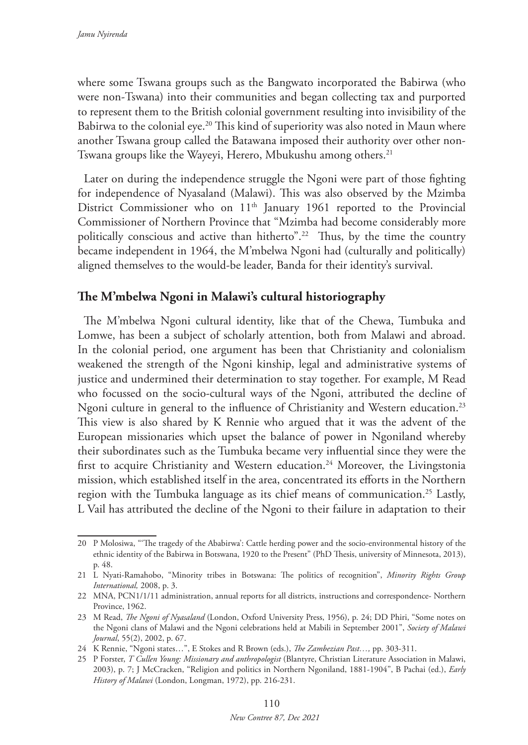where some Tswana groups such as the Bangwato incorporated the Babirwa (who were non-Tswana) into their communities and began collecting tax and purported to represent them to the British colonial government resulting into invisibility of the Babirwa to the colonial eye.<sup>20</sup> This kind of superiority was also noted in Maun where another Tswana group called the Batawana imposed their authority over other non-Tswana groups like the Wayeyi, Herero, Mbukushu among others.21

Later on during the independence struggle the Ngoni were part of those fighting for independence of Nyasaland (Malawi). This was also observed by the Mzimba District Commissioner who on 11<sup>th</sup> January 1961 reported to the Provincial Commissioner of Northern Province that "Mzimba had become considerably more politically conscious and active than hitherto".<sup>22</sup> Thus, by the time the country became independent in 1964, the M'mbelwa Ngoni had (culturally and politically) aligned themselves to the would-be leader, Banda for their identity's survival.

### **The M'mbelwa Ngoni in Malawi's cultural historiography**

The M'mbelwa Ngoni cultural identity, like that of the Chewa, Tumbuka and Lomwe, has been a subject of scholarly attention, both from Malawi and abroad. In the colonial period, one argument has been that Christianity and colonialism weakened the strength of the Ngoni kinship, legal and administrative systems of justice and undermined their determination to stay together. For example, M Read who focussed on the socio-cultural ways of the Ngoni, attributed the decline of Ngoni culture in general to the influence of Christianity and Western education.23 This view is also shared by K Rennie who argued that it was the advent of the European missionaries which upset the balance of power in Ngoniland whereby their subordinates such as the Tumbuka became very influential since they were the first to acquire Christianity and Western education.24 Moreover, the Livingstonia mission, which established itself in the area, concentrated its efforts in the Northern region with the Tumbuka language as its chief means of communication.25 Lastly, L Vail has attributed the decline of the Ngoni to their failure in adaptation to their

<sup>20</sup> P Molosiwa, "'The tragedy of the Ababirwa': Cattle herding power and the socio-environmental history of the ethnic identity of the Babirwa in Botswana, 1920 to the Present" (PhD Thesis, university of Minnesota, 2013), p. 48.

<sup>21</sup> L Nyati-Ramahobo, "Minority tribes in Botswana: The politics of recognition", *Minority Rights Group International,* 2008, p. 3.

<sup>22</sup> MNA, PCN1/1/11 administration, annual reports for all districts, instructions and correspondence- Northern Province, 1962.

<sup>23</sup> M Read, *The Ngoni of Nyasaland* (London, Oxford University Press, 1956), p. 24; DD Phiri, "Some notes on the Ngoni clans of Malawi and the Ngoni celebrations held at Mabili in September 2001", *Society of Malawi Journal*, 55(2), 2002, p. 67.

<sup>24</sup> K Rennie, "Ngoni states…", E Stokes and R Brown (eds.), *The Zambezian Past…,* pp. 303-311.

<sup>25</sup> P Forster, *T Cullen Young: Missionary and anthropologist* (Blantyre, Christian Literature Association in Malawi, 2003), p. 7; J McCracken, "Religion and politics in Northern Ngoniland, 1881-1904", B Pachai (ed.), *Early History of Malawi* (London, Longman, 1972), pp. 216-231.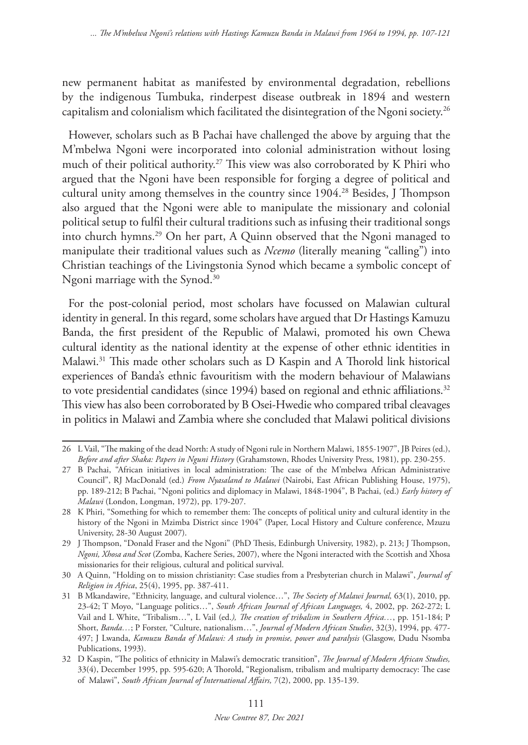new permanent habitat as manifested by environmental degradation, rebellions by the indigenous Tumbuka, rinderpest disease outbreak in 1894 and western capitalism and colonialism which facilitated the disintegration of the Ngoni society.<sup>26</sup>

However, scholars such as B Pachai have challenged the above by arguing that the M'mbelwa Ngoni were incorporated into colonial administration without losing much of their political authority.27 This view was also corroborated by K Phiri who argued that the Ngoni have been responsible for forging a degree of political and cultural unity among themselves in the country since 1904.28 Besides, J Thompson also argued that the Ngoni were able to manipulate the missionary and colonial political setup to fulfil their cultural traditions such as infusing their traditional songs into church hymns.29 On her part, A Quinn observed that the Ngoni managed to manipulate their traditional values such as *Ncemo* (literally meaning "calling") into Christian teachings of the Livingstonia Synod which became a symbolic concept of Ngoni marriage with the Synod.<sup>30</sup>

For the post-colonial period, most scholars have focussed on Malawian cultural identity in general. In this regard, some scholars have argued that Dr Hastings Kamuzu Banda, the first president of the Republic of Malawi, promoted his own Chewa cultural identity as the national identity at the expense of other ethnic identities in Malawi.31 This made other scholars such as D Kaspin and A Thorold link historical experiences of Banda's ethnic favouritism with the modern behaviour of Malawians to vote presidential candidates (since 1994) based on regional and ethnic affiliations.<sup>32</sup> This view has also been corroborated by B Osei-Hwedie who compared tribal cleavages in politics in Malawi and Zambia where she concluded that Malawi political divisions

<sup>26</sup> L Vail, "The making of the dead North: A study of Ngoni rule in Northern Malawi, 1855-1907", JB Peires (ed.), *Before and after Shaka: Papers in Nguni History* (Grahamstown, Rhodes University Press, 1981), pp. 230-255.

<sup>27</sup> B Pachai, "African initiatives in local administration: The case of the M'mbelwa African Administrative Council", RJ MacDonald (ed.) *From Nyasaland to Malawi* (Nairobi, East African Publishing House, 1975), pp. 189-212; B Pachai, "Ngoni politics and diplomacy in Malawi, 1848-1904", B Pachai, (ed.) *Early history of Malawi* (London, Longman, 1972), pp. 179-207.

<sup>28</sup> K Phiri, "Something for which to remember them: The concepts of political unity and cultural identity in the history of the Ngoni in Mzimba District since 1904" (Paper, Local History and Culture conference, Mzuzu University, 28-30 August 2007).

<sup>29</sup> J Thompson, "Donald Fraser and the Ngoni" (PhD Thesis, Edinburgh University, 1982), p. 213; J Thompson, *Ngoni, Xhosa and Scot* (Zomba, Kachere Series, 2007), where the Ngoni interacted with the Scottish and Xhosa missionaries for their religious, cultural and political survival.

<sup>30</sup> A Quinn, "Holding on to mission christianity: Case studies from a Presbyterian church in Malawi", *Journal of Religion in Africa*, 25(4), 1995, pp. 387-411.

<sup>31</sup> B Mkandawire, "Ethnicity, language, and cultural violence…", *The Society of Malawi Journal,* 63(1), 2010, pp. 23-42; T Moyo, "Language politics…", *South African Journal of African Languages,* 4, 2002, pp. 262-272; L Vail and L White, "Tribalism…", L Vail (ed.*), The creation of tribalism in Southern Africa…*, pp. 151-184; P Short, *Banda…*; P Forster, "Culture, nationalism…", *Journal of Modern African Studies*, 32(3), 1994, pp. 477- 497; J Lwanda, *Kamuzu Banda of Malawi: A study in promise, power and paralysis* (Glasgow, Dudu Nsomba Publications, 1993).

<sup>32</sup> D Kaspin, "The politics of ethnicity in Malawi's democratic transition", *The Journal of Modern African Studies,* 33(4), December 1995, pp. 595-620; A Thorold, "Regionalism, tribalism and multiparty democracy: The case of Malawi", *South African Journal of International Affairs,* 7(2), 2000, pp. 135-139.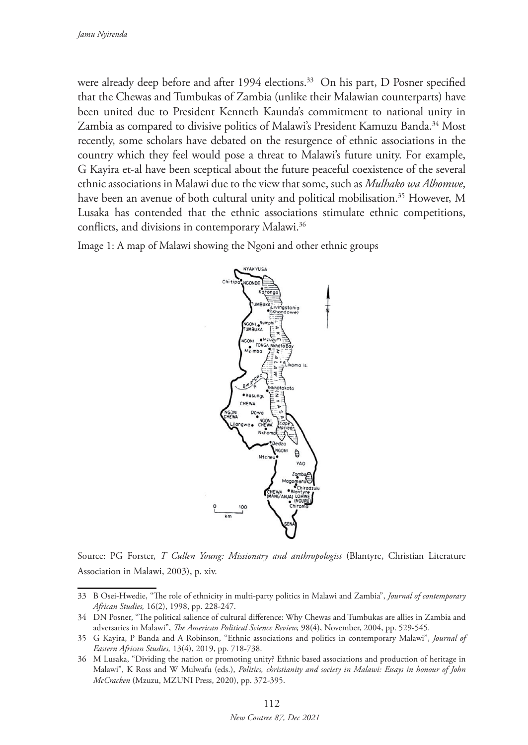were already deep before and after 1994 elections.<sup>33</sup> On his part, D Posner specified that the Chewas and Tumbukas of Zambia (unlike their Malawian counterparts) have been united due to President Kenneth Kaunda's commitment to national unity in Zambia as compared to divisive politics of Malawi's President Kamuzu Banda.34 Most recently, some scholars have debated on the resurgence of ethnic associations in the country which they feel would pose a threat to Malawi's future unity. For example, G Kayira et-al have been sceptical about the future peaceful coexistence of the several ethnic associations in Malawi due to the view that some, such as *Mulhako wa Alhomwe*, have been an avenue of both cultural unity and political mobilisation.<sup>35</sup> However, M Lusaka has contended that the ethnic associations stimulate ethnic competitions, conflicts, and divisions in contemporary Malawi.36

Image 1: A map of Malawi showing the Ngoni and other ethnic groups



Source: PG Forster, *T Cullen Young: Missionary and anthropologist* (Blantyre, Christian Literature Association in Malawi, 2003), p. xiv.

<sup>33</sup> B Osei-Hwedie, "The role of ethnicity in multi-party politics in Malawi and Zambia", *Journal of contemporary African Studies,* 16(2), 1998, pp. 228-247.

<sup>34</sup> DN Posner, "The political salience of cultural difference: Why Chewas and Tumbukas are allies in Zambia and adversaries in Malawi", *The American Political Science Review,* 98(4), November, 2004, pp. 529-545.

<sup>35</sup> G Kayira, P Banda and A Robinson, "Ethnic associations and politics in contemporary Malawi", *Journal of Eastern African Studies,* 13(4), 2019, pp. 718-738.

<sup>36</sup> M Lusaka, "Dividing the nation or promoting unity? Ethnic based associations and production of heritage in Malawi", K Ross and W Mulwafu (eds.), *Politics, christianity and society in Malawi: Essays in honour of John McCracken* (Mzuzu, MZUNI Press, 2020), pp. 372-395.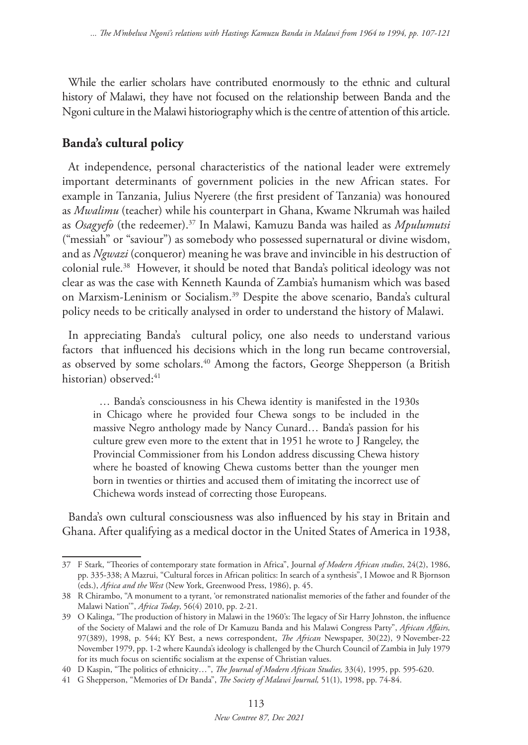While the earlier scholars have contributed enormously to the ethnic and cultural history of Malawi, they have not focused on the relationship between Banda and the Ngoni culture in the Malawi historiography which is the centre of attention of this article.

## **Banda's cultural policy**

At independence, personal characteristics of the national leader were extremely important determinants of government policies in the new African states. For example in Tanzania, Julius Nyerere (the first president of Tanzania) was honoured as *Mwalimu* (teacher) while his counterpart in Ghana, Kwame Nkrumah was hailed as *Osagyefo* (the redeemer).37 In Malawi, Kamuzu Banda was hailed as *Mpulumutsi* ("messiah" or "saviour") as somebody who possessed supernatural or divine wisdom, and as *Ngwazi* (conqueror) meaning he was brave and invincible in his destruction of colonial rule.38 However, it should be noted that Banda's political ideology was not clear as was the case with Kenneth Kaunda of Zambia's humanism which was based on Marxism-Leninism or Socialism.<sup>39</sup> Despite the above scenario, Banda's cultural policy needs to be critically analysed in order to understand the history of Malawi.

In appreciating Banda's cultural policy, one also needs to understand various factors that influenced his decisions which in the long run became controversial, as observed by some scholars.40 Among the factors, George Shepperson (a British historian) observed:<sup>41</sup>

… Banda's consciousness in his Chewa identity is manifested in the 1930s in Chicago where he provided four Chewa songs to be included in the massive Negro anthology made by Nancy Cunard… Banda's passion for his culture grew even more to the extent that in 1951 he wrote to J Rangeley, the Provincial Commissioner from his London address discussing Chewa history where he boasted of knowing Chewa customs better than the younger men born in twenties or thirties and accused them of imitating the incorrect use of Chichewa words instead of correcting those Europeans.

Banda's own cultural consciousness was also influenced by his stay in Britain and Ghana. After qualifying as a medical doctor in the United States of America in 1938,

<sup>37</sup> F Stark, "Theories of contemporary state formation in Africa", Journal *of Modern African studies*, 24(2), 1986, pp. 335-338; A Mazrui, "Cultural forces in African politics: In search of a synthesis", I Mowoe and R Bjornson (eds.), *Africa and the West* (New York, Greenwood Press, 1986), p. 45.

<sup>38</sup> R Chirambo, "A monument to a tyrant, 'or remonstrated nationalist memories of the father and founder of the Malawi Nation'", *Africa Today*, 56(4) 2010, pp. 2-21.

<sup>39</sup> O Kalinga, "The production of history in Malawi in the 1960's: The legacy of Sir Harry Johnston, the influence of the Society of Malawi and the role of Dr Kamuzu Banda and his Malawi Congress Party", *African Affairs,*  97(389), 1998, p. 544; KY Best, a news correspondent, *The African* Newspaper, 30(22), 9 November-22 November 1979, pp. 1-2 where Kaunda's ideology is challenged by the Church Council of Zambia in July 1979 for its much focus on scientific socialism at the expense of Christian values.

<sup>40</sup> D Kaspin, "The politics of ethnicity…", *The Journal of Modern African Studies,* 33(4), 1995, pp. 595-620.

<sup>41</sup> G Shepperson, "Memories of Dr Banda", *The Society of Malawi Journal,* 51(1), 1998, pp. 74-84.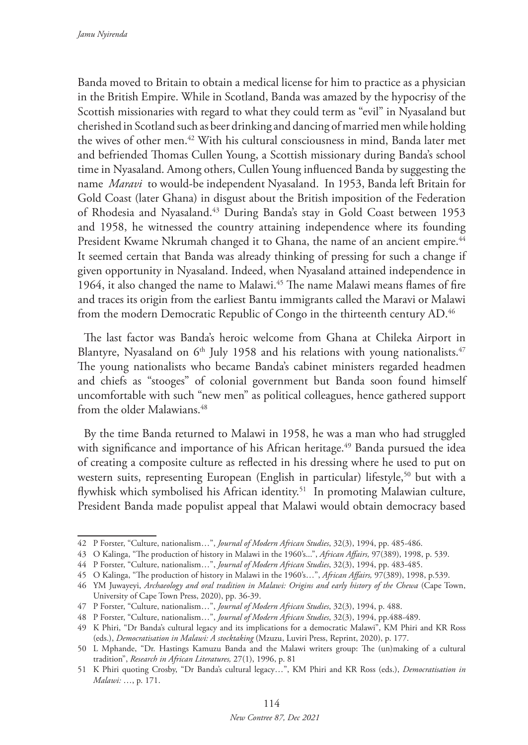Banda moved to Britain to obtain a medical license for him to practice as a physician in the British Empire. While in Scotland, Banda was amazed by the hypocrisy of the Scottish missionaries with regard to what they could term as "evil" in Nyasaland but cherished in Scotland such as beer drinking and dancing of married men while holding the wives of other men.42 With his cultural consciousness in mind, Banda later met and befriended Thomas Cullen Young, a Scottish missionary during Banda's school time in Nyasaland. Among others, Cullen Young influenced Banda by suggesting the name *Maravi* to would-be independent Nyasaland. In 1953, Banda left Britain for Gold Coast (later Ghana) in disgust about the British imposition of the Federation of Rhodesia and Nyasaland.43 During Banda's stay in Gold Coast between 1953 and 1958, he witnessed the country attaining independence where its founding President Kwame Nkrumah changed it to Ghana, the name of an ancient empire.<sup>44</sup> It seemed certain that Banda was already thinking of pressing for such a change if given opportunity in Nyasaland. Indeed, when Nyasaland attained independence in 1964, it also changed the name to Malawi.<sup>45</sup> The name Malawi means flames of fire and traces its origin from the earliest Bantu immigrants called the Maravi or Malawi from the modern Democratic Republic of Congo in the thirteenth century AD.<sup>46</sup>

The last factor was Banda's heroic welcome from Ghana at Chileka Airport in Blantyre, Nyasaland on  $6<sup>th</sup>$  July 1958 and his relations with young nationalists.<sup>47</sup> The young nationalists who became Banda's cabinet ministers regarded headmen and chiefs as "stooges" of colonial government but Banda soon found himself uncomfortable with such "new men" as political colleagues, hence gathered support from the older Malawians<sup>48</sup>

By the time Banda returned to Malawi in 1958, he was a man who had struggled with significance and importance of his African heritage.<sup>49</sup> Banda pursued the idea of creating a composite culture as reflected in his dressing where he used to put on western suits, representing European (English in particular) lifestyle,<sup>50</sup> but with a flywhisk which symbolised his African identity.<sup>51</sup> In promoting Malawian culture, President Banda made populist appeal that Malawi would obtain democracy based

<sup>42</sup> P Forster, "Culture, nationalism…", *Journal of Modern African Studies*, 32(3), 1994, pp. 485-486.

<sup>43</sup> O Kalinga, "The production of history in Malawi in the 1960's...", *African Affairs,* 97(389), 1998, p. 539.

<sup>44</sup> P Forster, "Culture, nationalism…", *Journal of Modern African Studies*, 32(3), 1994, pp. 483-485.

<sup>45</sup> O Kalinga, "The production of history in Malawi in the 1960's…", *African Affairs,* 97(389), 1998, p.539.

<sup>46</sup> YM Juwayeyi, *Archaeology and oral tradition in Malawi: Origins and early history of the Chewa* (Cape Town, University of Cape Town Press, 2020), pp. 36-39.

<sup>47</sup> P Forster, "Culture, nationalism…", *Journal of Modern African Studies*, 32(3), 1994, p. 488.

<sup>48</sup> P Forster, "Culture, nationalism…", *Journal of Modern African Studies*, 32(3), 1994, pp.488-489.

<sup>49</sup> K Phiri, "Dr Banda's cultural legacy and its implications for a democratic Malawi", KM Phiri and KR Ross (eds.), *Democratisation in Malawi: A stocktaking* (Mzuzu, Luviri Press, Reprint, 2020), p. 177.

<sup>50</sup> L Mphande, "Dr. Hastings Kamuzu Banda and the Malawi writers group: The (un)making of a cultural tradition", *Research in African Literatures,* 27(1), 1996, p. 81

<sup>51</sup> K Phiri quoting Crosby, "Dr Banda's cultural legacy…", KM Phiri and KR Ross (eds.), *Democratisation in Malawi:* …, p. 171.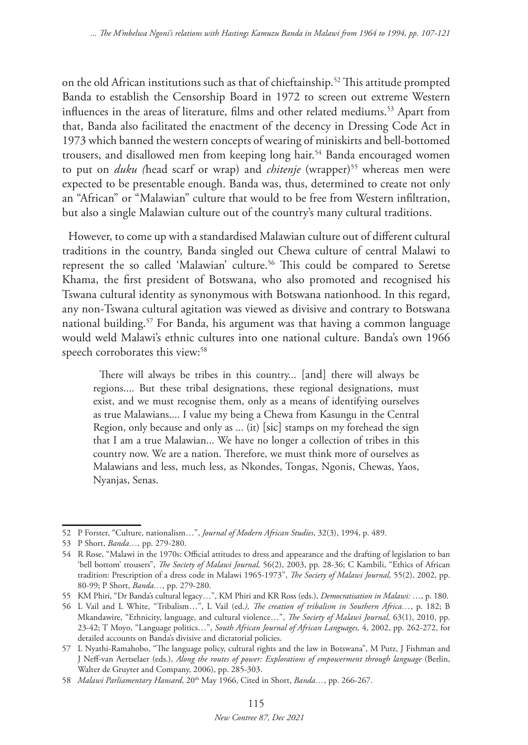on the old African institutions such as that of chieftainship.52 This attitude prompted Banda to establish the Censorship Board in 1972 to screen out extreme Western influences in the areas of literature, films and other related mediums.53 Apart from that, Banda also facilitated the enactment of the decency in Dressing Code Act in 1973 which banned the western concepts of wearing of miniskirts and bell-bottomed trousers, and disallowed men from keeping long hair.<sup>54</sup> Banda encouraged women to put on *duku* (head scarf or wrap) and *chitenje* (wrapper)<sup>55</sup> whereas men were expected to be presentable enough. Banda was, thus, determined to create not only an "African" or "Malawian" culture that would to be free from Western infiltration, but also a single Malawian culture out of the country's many cultural traditions.

However, to come up with a standardised Malawian culture out of different cultural traditions in the country, Banda singled out Chewa culture of central Malawi to represent the so called 'Malawian' culture.56 This could be compared to Seretse Khama, the first president of Botswana, who also promoted and recognised his Tswana cultural identity as synonymous with Botswana nationhood. In this regard, any non-Tswana cultural agitation was viewed as divisive and contrary to Botswana national building.57 For Banda, his argument was that having a common language would weld Malawi's ethnic cultures into one national culture. Banda's own 1966 speech corroborates this view:<sup>58</sup>

There will always be tribes in this country... [and] there will always be regions.... But these tribal designations, these regional designations, must exist, and we must recognise them, only as a means of identifying ourselves as true Malawians.... I value my being a Chewa from Kasungu in the Central Region, only because and only as ... (it) [sic] stamps on my forehead the sign that I am a true Malawian... We have no longer a collection of tribes in this country now. We are a nation. Therefore, we must think more of ourselves as Malawians and less, much less, as Nkondes, Tongas, Ngonis, Chewas, Yaos, Nyanjas, Senas.

<sup>52</sup> P Forster, "Culture, nationalism…", *Journal of Modern African Studies*, 32(3), 1994, p. 489.

<sup>53</sup> P Short, *Banda…,* pp. 279-280.

<sup>54</sup> R Rose, "Malawi in the 1970s: Official attitudes to dress and appearance and the drafting of legislation to ban 'bell bottom' trousers", *The Society of Malawi Journal,* 56(2), 2003, pp. 28-36; C Kambili, "Ethics of African tradition: Prescription of a dress code in Malawi 1965-1973", *The Society of Malawi Journal,* 55(2), 2002, pp. 80-99; P Short, *Banda…,* pp. 279-280.

<sup>55</sup> KM Phiri, "Dr Banda's cultural legacy…", KM Phiri and KR Ross (eds.), *Democratisation in Malawi:* …, p. 180.

<sup>56</sup> L Vail and L White, "Tribalism…", L Vail (ed.*), The creation of tribalism in Southern Africa…*, p. 182; B Mkandawire, "Ethnicity, language, and cultural violence…", *The Society of Malawi Journal,* 63(1), 2010, pp. 23-42; T Moyo, "Language politics…", *South African Journal of African Languages,* 4, 2002, pp. 262-272, for detailed accounts on Banda's divisive and dictatorial policies.

<sup>57</sup> L Nyathi-Ramahobo, "The language policy, cultural rights and the law in Botswana", M Putz, J Fishman and J Neff-van Aertselaer (eds.), *Along the routes of power: Explorations of empowerment through language* (Berlin, Walter de Gruyter and Company, 2006), pp. 285-303.

<sup>58</sup> *Malawi Parliamentary Hansard*, 20<sup>th</sup> May 1966, Cited in Short, *Banda*..., pp. 266-267.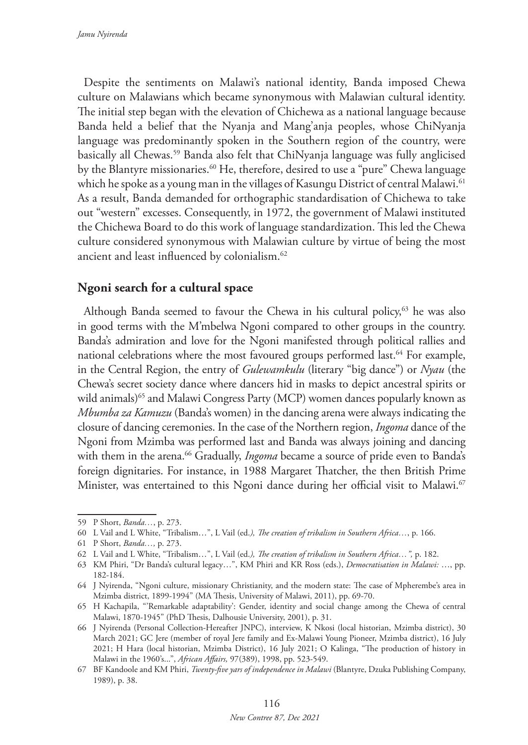Despite the sentiments on Malawi's national identity, Banda imposed Chewa culture on Malawians which became synonymous with Malawian cultural identity. The initial step began with the elevation of Chichewa as a national language because Banda held a belief that the Nyanja and Mang'anja peoples, whose ChiNyanja language was predominantly spoken in the Southern region of the country, were basically all Chewas.59 Banda also felt that ChiNyanja language was fully anglicised by the Blantyre missionaries.<sup>60</sup> He, therefore, desired to use a "pure" Chewa language which he spoke as a young man in the villages of Kasungu District of central Malawi.<sup>61</sup> As a result, Banda demanded for orthographic standardisation of Chichewa to take out "western" excesses. Consequently, in 1972, the government of Malawi instituted the Chichewa Board to do this work of language standardization. This led the Chewa culture considered synonymous with Malawian culture by virtue of being the most ancient and least influenced by colonialism.<sup>62</sup>

### **Ngoni search for a cultural space**

Although Banda seemed to favour the Chewa in his cultural policy, $63$  he was also in good terms with the M'mbelwa Ngoni compared to other groups in the country. Banda's admiration and love for the Ngoni manifested through political rallies and national celebrations where the most favoured groups performed last.<sup>64</sup> For example, in the Central Region, the entry of *Gulewamkulu* (literary "big dance") or *Nyau* (the Chewa's secret society dance where dancers hid in masks to depict ancestral spirits or wild animals)<sup>65</sup> and Malawi Congress Party (MCP) women dances popularly known as *Mbumba za Kamuzu* (Banda's women) in the dancing arena were always indicating the closure of dancing ceremonies. In the case of the Northern region, *Ingoma* dance of the Ngoni from Mzimba was performed last and Banda was always joining and dancing with them in the arena.<sup>66</sup> Gradually, *Ingoma* became a source of pride even to Banda's foreign dignitaries. For instance, in 1988 Margaret Thatcher, the then British Prime Minister, was entertained to this Ngoni dance during her official visit to Malawi.<sup>67</sup>

<sup>59</sup> P Short, *Banda…*, p. 273.

<sup>60</sup> L Vail and L White, "Tribalism…", L Vail (ed.*), The creation of tribalism in Southern Africa…*, p. 166.

<sup>61</sup> P Short, *Banda…,* p. 273.

<sup>62</sup> L Vail and L White, "Tribalism…", L Vail (ed.*), The creation of tribalism in Southern Africa…",* p. 182.

<sup>63</sup> KM Phiri, "Dr Banda's cultural legacy…", KM Phiri and KR Ross (eds.), *Democratisation in Malawi:* …, pp. 182-184.

<sup>64</sup> J Nyirenda, "Ngoni culture, missionary Christianity, and the modern state: The case of Mpherembe's area in Mzimba district, 1899-1994" (MA Thesis, University of Malawi, 2011), pp. 69-70.

<sup>65</sup> H Kachapila, "'Remarkable adaptability': Gender, identity and social change among the Chewa of central Malawi, 1870-1945" (PhD Thesis, Dalhousie University, 2001), p. 31.

<sup>66</sup> J Nyirenda (Personal Collection-Hereafter JNPC), interview, K Nkosi (local historian, Mzimba district), 30 March 2021; GC Jere (member of royal Jere family and Ex-Malawi Young Pioneer, Mzimba district), 16 July 2021; H Hara (local historian, Mzimba District), 16 July 2021; O Kalinga, "The production of history in Malawi in the 1960's...", *African Affairs,* 97(389), 1998, pp. 523-549.

<sup>67</sup> BF Kandoole and KM Phiri, *Twenty-five yars of independence in Malawi* (Blantyre, Dzuka Publishing Company, 1989), p. 38.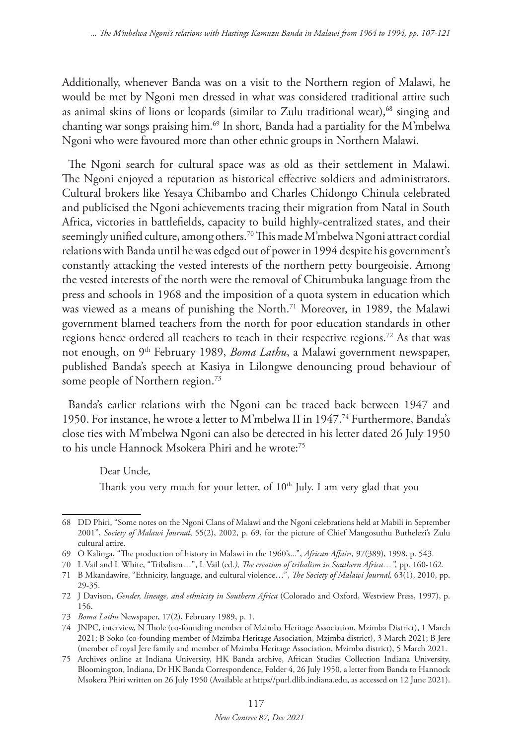Additionally, whenever Banda was on a visit to the Northern region of Malawi, he would be met by Ngoni men dressed in what was considered traditional attire such as animal skins of lions or leopards (similar to Zulu traditional wear), $^{68}$  singing and chanting war songs praising him.69 In short, Banda had a partiality for the M'mbelwa Ngoni who were favoured more than other ethnic groups in Northern Malawi.

The Ngoni search for cultural space was as old as their settlement in Malawi. The Ngoni enjoyed a reputation as historical effective soldiers and administrators. Cultural brokers like Yesaya Chibambo and Charles Chidongo Chinula celebrated and publicised the Ngoni achievements tracing their migration from Natal in South Africa, victories in battlefields, capacity to build highly-centralized states, and their seemingly unified culture, among others.<sup>70</sup> This made M'mbelwa Ngoni attract cordial relations with Banda until he was edged out of power in 1994 despite his government's constantly attacking the vested interests of the northern petty bourgeoisie. Among the vested interests of the north were the removal of Chitumbuka language from the press and schools in 1968 and the imposition of a quota system in education which was viewed as a means of punishing the North.<sup>71</sup> Moreover, in 1989, the Malawi government blamed teachers from the north for poor education standards in other regions hence ordered all teachers to teach in their respective regions.72 As that was not enough, on 9th February 1989, *Boma Lathu*, a Malawi government newspaper, published Banda's speech at Kasiya in Lilongwe denouncing proud behaviour of some people of Northern region.73

Banda's earlier relations with the Ngoni can be traced back between 1947 and 1950. For instance, he wrote a letter to M'mbelwa II in 1947.<sup>74</sup> Furthermore, Banda's close ties with M'mbelwa Ngoni can also be detected in his letter dated 26 July 1950 to his uncle Hannock Msokera Phiri and he wrote:75

Dear Uncle,

Thank you very much for your letter, of 10<sup>th</sup> July. I am very glad that you

<sup>68</sup> DD Phiri, "Some notes on the Ngoni Clans of Malawi and the Ngoni celebrations held at Mabili in September 2001", *Society of Malawi Journal*, 55(2), 2002, p. 69, for the picture of Chief Mangosuthu Buthelezi's Zulu cultural attire.

<sup>69</sup> O Kalinga, "The production of history in Malawi in the 1960's...", *African Affairs,* 97(389), 1998, p. 543.

<sup>70</sup> L Vail and L White, "Tribalism…", L Vail (ed.*), The creation of tribalism in Southern Africa…",* pp. 160-162.

<sup>71</sup> B Mkandawire, "Ethnicity, language, and cultural violence…", *The Society of Malawi Journal,* 63(1), 2010, pp. 29-35.

<sup>72</sup> J Davison, *Gender, lineage, and ethnicity in Southern Africa* (Colorado and Oxford, Westview Press, 1997), p. 156.

<sup>73</sup> *Boma Lathu* Newspaper, 17(2), February 1989, p. 1.

<sup>74</sup> JNPC, interview, N Thole (co-founding member of Mzimba Heritage Association, Mzimba District), 1 March 2021; B Soko (co-founding member of Mzimba Heritage Association, Mzimba district), 3 March 2021; B Jere (member of royal Jere family and member of Mzimba Heritage Association, Mzimba district), 5 March 2021.

<sup>75</sup> Archives online at Indiana University, HK Banda archive, African Studies Collection Indiana University, Bloomington, Indiana, Dr HK Banda Correspondence, Folder 4, 26 July 1950, a letter from Banda to Hannock Msokera Phiri written on 26 July 1950 (Available at https//purl.dlib.indiana.edu, as accessed on 12 June 2021).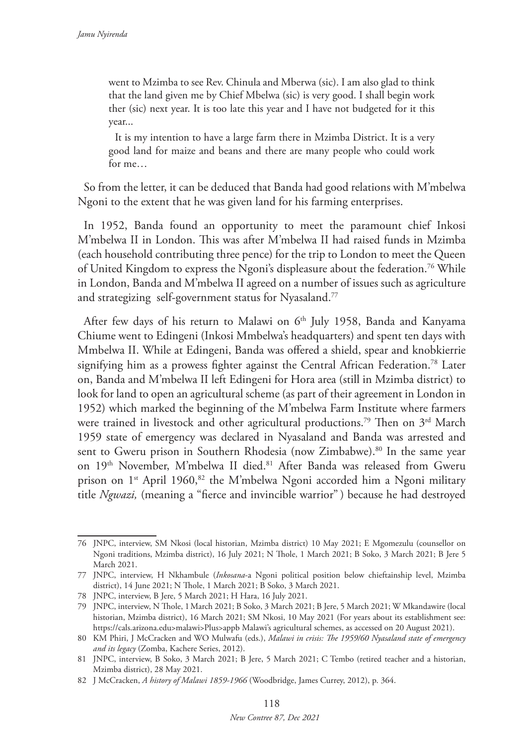went to Mzimba to see Rev. Chinula and Mberwa (sic). I am also glad to think that the land given me by Chief Mbelwa (sic) is very good. I shall begin work ther (sic) next year. It is too late this year and I have not budgeted for it this year...

It is my intention to have a large farm there in Mzimba District. It is a very good land for maize and beans and there are many people who could work for me…

So from the letter, it can be deduced that Banda had good relations with M'mbelwa Ngoni to the extent that he was given land for his farming enterprises.

In 1952, Banda found an opportunity to meet the paramount chief Inkosi M'mbelwa II in London. This was after M'mbelwa II had raised funds in Mzimba (each household contributing three pence) for the trip to London to meet the Queen of United Kingdom to express the Ngoni's displeasure about the federation.<sup>76</sup> While in London, Banda and M'mbelwa II agreed on a number of issues such as agriculture and strategizing self-government status for Nyasaland.<sup>77</sup>

After few days of his return to Malawi on  $6<sup>th</sup>$  July 1958, Banda and Kanyama Chiume went to Edingeni (Inkosi Mmbelwa's headquarters) and spent ten days with Mmbelwa II. While at Edingeni, Banda was offered a shield, spear and knobkierrie signifying him as a prowess fighter against the Central African Federation.78 Later on, Banda and M'mbelwa II left Edingeni for Hora area (still in Mzimba district) to look for land to open an agricultural scheme (as part of their agreement in London in 1952) which marked the beginning of the M'mbelwa Farm Institute where farmers were trained in livestock and other agricultural productions.<sup>79</sup> Then on 3<sup>rd</sup> March 1959 state of emergency was declared in Nyasaland and Banda was arrested and sent to Gweru prison in Southern Rhodesia (now Zimbabwe).<sup>80</sup> In the same year on 19th November, M'mbelwa II died.<sup>81</sup> After Banda was released from Gweru prison on 1<sup>st</sup> April 1960,<sup>82</sup> the M'mbelwa Ngoni accorded him a Ngoni military title *Ngwazi,* (meaning a "fierce and invincible warrior" ) because he had destroyed

<sup>76</sup> JNPC, interview, SM Nkosi (local historian, Mzimba district) 10 May 2021; E Mgomezulu (counsellor on Ngoni traditions, Mzimba district), 16 July 2021; N Thole, 1 March 2021; B Soko, 3 March 2021; B Jere 5 March 2021.

<sup>77</sup> JNPC, interview, H Nkhambule (*Inkosana*-a Ngoni political position below chieftainship level, Mzimba district), 14 June 2021; N Thole, 1 March 2021; B Soko, 3 March 2021.

<sup>78</sup> JNPC, interview, B Jere, 5 March 2021; H Hara, 16 July 2021.

<sup>79</sup> JNPC, interview, N Thole, 1March 2021; B Soko, 3 March 2021; B Jere, 5 March 2021; W Mkandawire (local historian, Mzimba district), 16 March 2021; SM Nkosi, 10 May 2021 (For years about its establishment see: https://cals.arizona.edu>malawi>Plus>appb Malawi's agricultural schemes, as accessed on 20 August 2021).

<sup>80</sup> KM Phiri, J McCracken and WO Mulwafu (eds.), *Malawi in crisis: The 1959/60 Nyasaland state of emergency and its legacy* (Zomba, Kachere Series, 2012).

<sup>81</sup> JNPC, interview, B Soko, 3 March 2021; B Jere, 5 March 2021; C Tembo (retired teacher and a historian, Mzimba district), 28 May 2021.

<sup>82</sup> J McCracken, *A history of Malawi 1859-1966* (Woodbridge, James Currey, 2012), p. 364.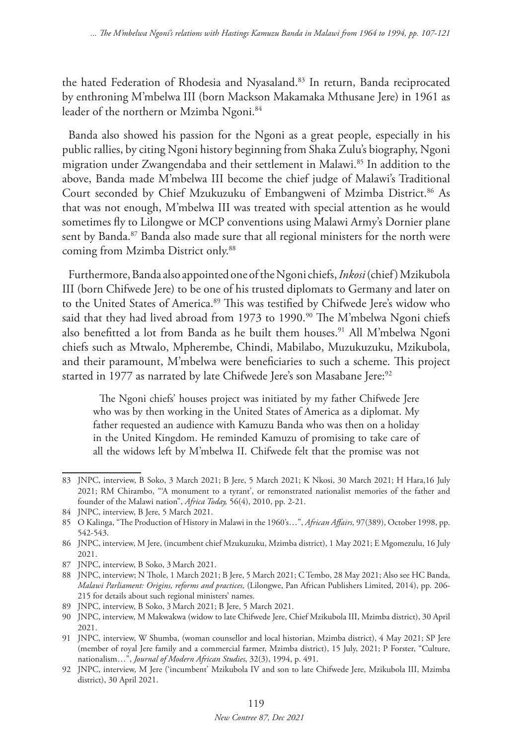the hated Federation of Rhodesia and Nyasaland.<sup>83</sup> In return, Banda reciprocated by enthroning M'mbelwa III (born Mackson Makamaka Mthusane Jere) in 1961 as leader of the northern or Mzimba Ngoni.<sup>84</sup>

Banda also showed his passion for the Ngoni as a great people, especially in his public rallies, by citing Ngoni history beginning from Shaka Zulu's biography, Ngoni migration under Zwangendaba and their settlement in Malawi.85 In addition to the above, Banda made M'mbelwa III become the chief judge of Malawi's Traditional Court seconded by Chief Mzukuzuku of Embangweni of Mzimba District.<sup>86</sup> As that was not enough, M'mbelwa III was treated with special attention as he would sometimes fly to Lilongwe or MCP conventions using Malawi Army's Dornier plane sent by Banda.<sup>87</sup> Banda also made sure that all regional ministers for the north were coming from Mzimba District only.88

Furthermore, Banda also appointed one of the Ngoni chiefs, *Inkosi* (chief) Mzikubola III (born Chifwede Jere) to be one of his trusted diplomats to Germany and later on to the United States of America.<sup>89</sup> This was testified by Chifwede Jere's widow who said that they had lived abroad from 1973 to 1990.<sup>90</sup> The M'mbelwa Ngoni chiefs also benefitted a lot from Banda as he built them houses.<sup>91</sup> All M'mbelwa Ngoni chiefs such as Mtwalo, Mpherembe, Chindi, Mabilabo, Muzukuzuku, Mzikubola, and their paramount, M'mbelwa were beneficiaries to such a scheme. This project started in 1977 as narrated by late Chifwede Jere's son Masabane Jere:<sup>92</sup>

The Ngoni chiefs' houses project was initiated by my father Chifwede Jere who was by then working in the United States of America as a diplomat. My father requested an audience with Kamuzu Banda who was then on a holiday in the United Kingdom. He reminded Kamuzu of promising to take care of all the widows left by M'mbelwa II. Chifwede felt that the promise was not

<sup>83</sup> JNPC, interview, B Soko, 3 March 2021; B Jere, 5 March 2021; K Nkosi, 30 March 2021; H Hara,16 July 2021; RM Chirambo, "'A monument to a tyrant', or remonstrated nationalist memories of the father and founder of the Malawi nation", *Africa Today,* 56(4), 2010, pp. 2-21.

<sup>84</sup> JNPC, interview, B Jere, 5 March 2021.

<sup>85</sup> O Kalinga, "The Production of History in Malawi in the 1960's…", *African Affairs,* 97(389), October 1998, pp. 542-543.

<sup>86</sup> JNPC, interview, M Jere, (incumbent chief Mzukuzuku, Mzimba district), 1 May 2021; E Mgomezulu, 16 July 2021.

<sup>87</sup> JNPC, interview, B Soko, 3March 2021.

<sup>88</sup> JNPC, interview; N Thole, 1 March 2021; B Jere, 5 March 2021; C Tembo, 28 May 2021; Also see HC Banda, *Malawi Parliament: Origins, reforms and practices,* (Lilongwe, Pan African Publishers Limited, 2014), pp. 206- 215 for details about such regional ministers' names.

<sup>89</sup> JNPC, interview, B Soko, 3March 2021; B Jere, 5 March 2021.

<sup>90</sup> JNPC, interview, M Makwakwa (widow to late Chifwede Jere, Chief Mzikubola III, Mzimba district), 30 April 2021.

<sup>91</sup> JNPC, interview, W Shumba, (woman counsellor and local historian, Mzimba district), 4 May 2021; SP Jere (member of royal Jere family and a commercial farmer, Mzimba district), 15 July, 2021; P Forster, "Culture, nationalism…", *Journal of Modern African Studies*, 32(3), 1994, p. 491.

<sup>92</sup> JNPC, interview, M Jere ('incumbent' Mzikubola IV and son to late Chifwede Jere, Mzikubola III, Mzimba district), 30 April 2021.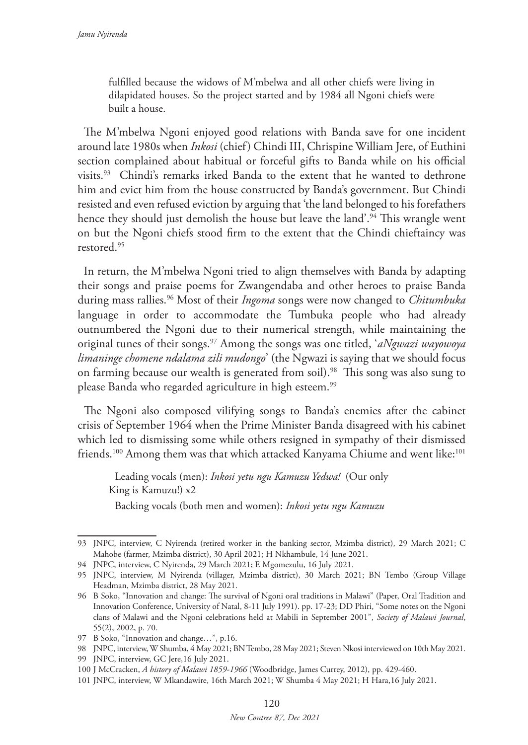fulfilled because the widows of M'mbelwa and all other chiefs were living in dilapidated houses. So the project started and by 1984 all Ngoni chiefs were built a house.

The M'mbelwa Ngoni enjoyed good relations with Banda save for one incident around late 1980s when *Inkosi* (chief) Chindi III, Chrispine William Jere, of Euthini section complained about habitual or forceful gifts to Banda while on his official visits.93 Chindi's remarks irked Banda to the extent that he wanted to dethrone him and evict him from the house constructed by Banda's government. But Chindi resisted and even refused eviction by arguing that 'the land belonged to his forefathers hence they should just demolish the house but leave the land'.<sup>94</sup> This wrangle went on but the Ngoni chiefs stood firm to the extent that the Chindi chieftaincy was restored.95

In return, the M'mbelwa Ngoni tried to align themselves with Banda by adapting their songs and praise poems for Zwangendaba and other heroes to praise Banda during mass rallies.96 Most of their *Ingoma* songs were now changed to *Chitumbuka* language in order to accommodate the Tumbuka people who had already outnumbered the Ngoni due to their numerical strength, while maintaining the original tunes of their songs.97 Among the songs was one titled, '*aNgwazi wayowoya limaninge chomene ndalama zili mudongo*' (the Ngwazi is saying that we should focus on farming because our wealth is generated from soil).<sup>98</sup> This song was also sung to please Banda who regarded agriculture in high esteem.<sup>99</sup>

The Ngoni also composed vilifying songs to Banda's enemies after the cabinet crisis of September 1964 when the Prime Minister Banda disagreed with his cabinet which led to dismissing some while others resigned in sympathy of their dismissed friends.<sup>100</sup> Among them was that which attacked Kanyama Chiume and went like:<sup>101</sup>

Leading vocals (men): *Inkosi yetu ngu Kamuzu Yedwa!* (Our only King is Kamuzu!) x2

Backing vocals (both men and women): *Inkosi yetu ngu Kamuzu* 

<sup>93</sup> JNPC, interview, C Nyirenda (retired worker in the banking sector, Mzimba district), 29 March 2021; C Mahobe (farmer, Mzimba district), 30 April 2021; H Nkhambule, 14 June 2021.

<sup>94</sup> JNPC, interview, C Nyirenda, 29 March 2021; E Mgomezulu, 16 July 2021.

<sup>95</sup> JNPC, interview, M Nyirenda (villager, Mzimba district), 30 March 2021; BN Tembo (Group Village Headman, Mzimba district, 28 May 2021.

<sup>96</sup> B Soko, "Innovation and change: The survival of Ngoni oral traditions in Malawi" (Paper, Oral Tradition and Innovation Conference, University of Natal, 8-11 July 1991). pp. 17-23; DD Phiri, "Some notes on the Ngoni clans of Malawi and the Ngoni celebrations held at Mabili in September 2001", *Society of Malawi Journal*, 55(2), 2002, p. 70.

<sup>97</sup> B Soko, "Innovation and change…", p.16.

<sup>98</sup> JNPC, interview, W Shumba, 4 May 2021; BN Tembo, 28 May 2021; Steven Nkosi interviewed on 10th May 2021.

<sup>99</sup> JNPC, interview, GC Jere,16 July 2021.

<sup>100</sup> J McCracken, *A history of Malawi 1859-1966* (Woodbridge, James Currey, 2012), pp. 429-460.

<sup>101</sup> JNPC, interview, W Mkandawire, 16th March 2021; W Shumba 4 May 2021; H Hara,16 July 2021.